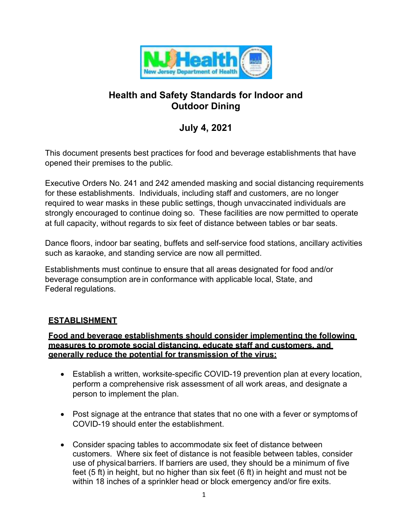

# **Health and Safety Standards for Indoor and Outdoor Dining**

# **July 4, 2021**

This document presents best practices for food and beverage establishments that have opened their premises to the public.

Executive Orders No. 241 and 242 amended masking and social distancing requirements for these establishments. Individuals, including staff and customers, are no longer required to wear masks in these public settings, though unvaccinated individuals are strongly encouraged to continue doing so. These facilities are now permitted to operate at full capacity, without regards to six feet of distance between tables or bar seats.

Dance floors, indoor bar seating, buffets and self-service food stations, ancillary activities such as karaoke, and standing service are now all permitted.

Establishments must continue to ensure that all areas designated for food and/or beverage consumption are in conformance with applicable local, State, and Federal regulations.

# **ESTABLISHMENT**

## **Food and beverage establishments should consider implementing the following measures to promote social distancing, educate staff and customers, and generally reduce the potential for transmission of the virus:**

- Establish a written, worksite-specific COVID-19 prevention plan at every location, perform a comprehensive risk assessment of all work areas, and designate a person to implement the plan.
- Post signage at the entrance that states that no one with a fever or symptoms of COVID-19 should enter the establishment.
- Consider spacing tables to accommodate six feet of distance between customers. Where six feet of distance is not feasible between tables, consider use of physical barriers. If barriers are used, they should be a minimum of five feet (5 ft) in height, but no higher than six feet (6 ft) in height and must not be within 18 inches of a sprinkler head or block emergency and/or fire exits.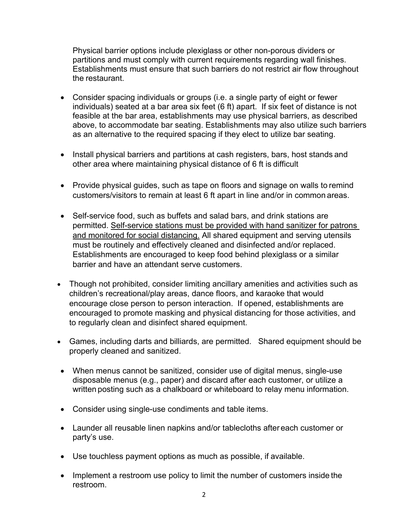Physical barrier options include plexiglass or other non-porous dividers or partitions and must comply with current requirements regarding wall finishes. Establishments must ensure that such barriers do not restrict air flow throughout the restaurant.

- Consider spacing individuals or groups (i.e. a single party of eight or fewer individuals) seated at a bar area six feet (6 ft) apart. If six feet of distance is not feasible at the bar area, establishments may use physical barriers, as described above, to accommodate bar seating. Establishments may also utilize such barriers as an alternative to the required spacing if they elect to utilize bar seating.
- Install physical barriers and partitions at cash registers, bars, host stands and other area where maintaining physical distance of 6 ft is difficult
- Provide physical guides, such as tape on floors and signage on walls to remind customers/visitors to remain at least 6 ft apart in line and/or in common areas.
- Self-service food, such as buffets and salad bars, and drink stations are permitted. Self-service stations must be provided with hand sanitizer for patrons and monitored for social distancing. All shared equipment and serving utensils must be routinely and effectively cleaned and disinfected and/or replaced. Establishments are encouraged to keep food behind plexiglass or a similar barrier and have an attendant serve customers.
- Though not prohibited, consider limiting ancillary amenities and activities such as children's recreational/play areas, dance floors, and karaoke that would encourage close person to person interaction. If opened, establishments are encouraged to promote masking and physical distancing for those activities, and to regularly clean and disinfect shared equipment.
- Games, including darts and billiards, are permitted. Shared equipment should be properly cleaned and sanitized.
- When menus cannot be sanitized, consider use of digital menus, single-use disposable menus (e.g., paper) and discard after each customer, or utilize a written posting such as a chalkboard or whiteboard to relay menu information.
- Consider using single-use condiments and table items.
- Launder all reusable linen napkins and/or tablecloths after each customer or party's use.
- Use touchless payment options as much as possible, if available.
- Implement a restroom use policy to limit the number of customers inside the restroom.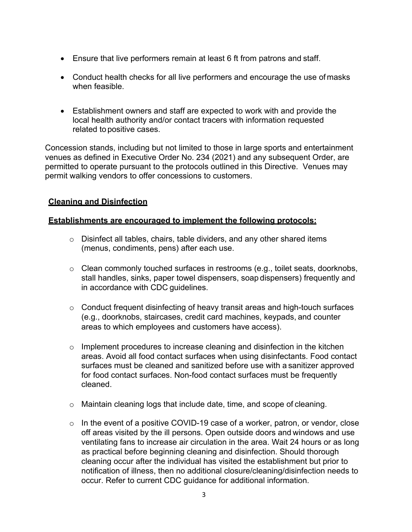- Ensure that live performers remain at least 6 ft from patrons and staff.
- Conduct health checks for all live performers and encourage the use of masks when feasible.
- Establishment owners and staff are expected to work with and provide the local health authority and/or contact tracers with information requested related topositive cases.

Concession stands, including but not limited to those in large sports and entertainment venues as defined in Executive Order No. 234 (2021) and any subsequent Order, are permitted to operate pursuant to the protocols outlined in this Directive. Venues may permit walking vendors to offer concessions to customers.

## **Cleaning and Disinfection**

#### **Establishments are encouraged to implement the following protocols:**

- $\circ$  Disinfect all tables, chairs, table dividers, and any other shared items (menus, condiments, pens) after each use.
- o Clean commonly touched surfaces in restrooms (e.g., toilet seats, doorknobs, stall handles, sinks, paper towel dispensers, soap dispensers) frequently and in accordance with CDC guidelines.
- o Conduct frequent disinfecting of heavy transit areas and high-touch surfaces (e.g., doorknobs, staircases, credit card machines, keypads, and counter areas to which employees and customers have access).
- o Implement procedures to increase cleaning and disinfection in the kitchen areas. Avoid all food contact surfaces when using disinfectants. Food contact surfaces must be cleaned and sanitized before use with a sanitizer approved for food contact surfaces. Non-food contact surfaces must be frequently cleaned.
- o Maintain cleaning logs that include date, time, and scope of cleaning.
- $\circ$  In the event of a positive COVID-19 case of a worker, patron, or vendor, close off areas visited by the ill persons. Open outside doors and windows and use ventilating fans to increase air circulation in the area. Wait 24 hours or as long as practical before beginning cleaning and disinfection. Should thorough cleaning occur after the individual has visited the establishment but prior to notification of illness, then no additional closure/cleaning/disinfection needs to occur. Refer to current CDC guidance for additional information.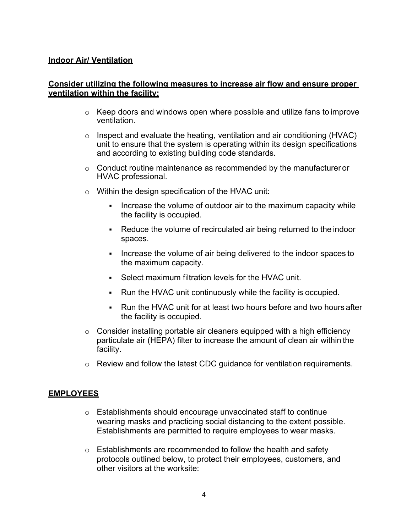#### **Indoor Air/ Ventilation**

#### **Consider utilizing the following measures to increase air flow and ensure proper ventilation within the facility:**

- $\circ$  Keep doors and windows open where possible and utilize fans to improve ventilation.
- $\circ$  Inspect and evaluate the heating, ventilation and air conditioning (HVAC) unit to ensure that the system is operating within its design specifications and according to existing building code standards.
- $\circ$  Conduct routine maintenance as recommended by the manufacturer or HVAC professional.
- o Within the design specification of the HVAC unit:
	- Increase the volume of outdoor air to the maximum capacity while the facility is occupied.
	- Reduce the volume of recirculated air being returned to the indoor spaces.
	- Increase the volume of air being delivered to the indoor spaces to the maximum capacity.
	- Select maximum filtration levels for the HVAC unit.
	- Run the HVAC unit continuously while the facility is occupied.
	- Run the HVAC unit for at least two hours before and two hours after the facility is occupied.
- o Consider installing portable air cleaners equipped with a high efficiency particulate air (HEPA) filter to increase the amount of clean air within the facility.
- o Review and follow the latest CDC guidance for ventilation requirements.

#### **EMPLOYEES**

- o Establishments should encourage unvaccinated staff to continue wearing masks and practicing social distancing to the extent possible. Establishments are permitted to require employees to wear masks.
- $\circ$  Establishments are recommended to follow the health and safety protocols outlined below, to protect their employees, customers, and other visitors at the worksite: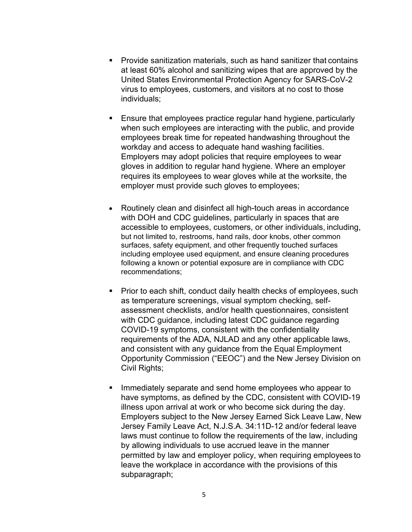- Provide sanitization materials, such as hand sanitizer that contains at least 60% alcohol and sanitizing wipes that are approved by the United States Environmental Protection Agency for SARS-CoV-2 virus to employees, customers, and visitors at no cost to those individuals;
- Ensure that employees practice regular hand hygiene, particularly when such employees are interacting with the public, and provide employees break time for repeated handwashing throughout the workday and access to adequate hand washing facilities. Employers may adopt policies that require employees to wear gloves in addition to regular hand hygiene. Where an employer requires its employees to wear gloves while at the worksite, the employer must provide such gloves to employees;
- Routinely clean and disinfect all high-touch areas in accordance with DOH and CDC guidelines, particularly in spaces that are accessible to employees, customers, or other individuals, including, but not limited to, restrooms, hand rails, door knobs, other common surfaces, safety equipment, and other frequently touched surfaces including employee used equipment, and ensure cleaning procedures following a known or potential exposure are in compliance with CDC recommendations;
- **Prior to each shift, conduct daily health checks of employees, such** as temperature screenings, visual symptom checking, selfassessment checklists, and/or health questionnaires, consistent with CDC guidance, including latest CDC guidance regarding COVID-19 symptoms, consistent with the confidentiality requirements of the ADA, NJLAD and any other applicable laws, and consistent with any guidance from the Equal Employment Opportunity Commission ("EEOC") and the New Jersey Division on Civil Rights;
- Immediately separate and send home employees who appear to have symptoms, as defined by the CDC, consistent with COVID-19 illness upon arrival at work or who become sick during the day. Employers subject to the New Jersey Earned Sick Leave Law, New Jersey Family Leave Act, N.J.S.A. 34:11D-12 and/or federal leave laws must continue to follow the requirements of the law, including by allowing individuals to use accrued leave in the manner permitted by law and employer policy, when requiring employees to leave the workplace in accordance with the provisions of this subparagraph;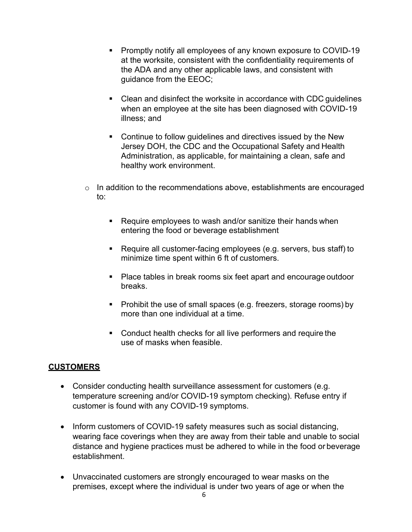- Promptly notify all employees of any known exposure to COVID-19 at the worksite, consistent with the confidentiality requirements of the ADA and any other applicable laws, and consistent with guidance from the EEOC;
- Clean and disinfect the worksite in accordance with CDC guidelines when an employee at the site has been diagnosed with COVID-19 illness; and
- **Continue to follow guidelines and directives issued by the New** Jersey DOH, the CDC and the Occupational Safety and Health Administration, as applicable, for maintaining a clean, safe and healthy work environment.
- $\circ$  In addition to the recommendations above, establishments are encouraged to:
	- Require employees to wash and/or sanitize their hands when entering the food or beverage establishment
	- Require all customer-facing employees (e.g. servers, bus staff) to minimize time spent within 6 ft of customers.
	- **Place tables in break rooms six feet apart and encourage outdoor** breaks.
	- Prohibit the use of small spaces (e.g. freezers, storage rooms) by more than one individual at a time.
	- Conduct health checks for all live performers and require the use of masks when feasible.

## **CUSTOMERS**

- Consider conducting health surveillance assessment for customers (e.g. temperature screening and/or COVID-19 symptom checking). Refuse entry if customer is found with any COVID-19 symptoms.
- Inform customers of COVID-19 safety measures such as social distancing, wearing face coverings when they are away from their table and unable to social distance and hygiene practices must be adhered to while in the food or beverage establishment.
- Unvaccinated customers are strongly encouraged to wear masks on the premises, except where the individual is under two years of age or when the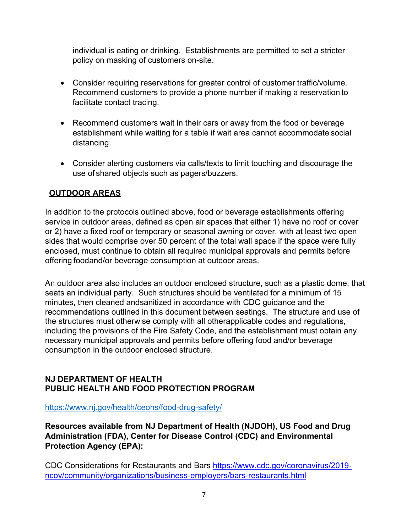individual is eating or drinking. Establishments are permitted to set a stricter policy on masking of customers on-site.

- Consider requiring reservations for greater control of customer traffic/volume. Recommend customers to provide a phone number if making a reservation to facilitate contact tracing.
- Recommend customers wait in their cars or away from the food or beverage establishment while waiting for a table if wait area cannot accommodate social distancing.
- Consider alerting customers via calls/texts to limit touching and discourage the use of shared objects such as pagers/buzzers.

# **OUTDOOR AREAS**

In addition to the protocols outlined above, food or beverage establishments offering service in outdoor areas, defined as open air spaces that either 1) have no roof or cover or 2) have a fixed roof or temporary or seasonal awning or cover, with at least two open sides that would comprise over 50 percent of the total wall space if the space were fully enclosed, must continue to obtain all required municipal approvals and permits before offering foodand/or beverage consumption at outdoor areas.

An outdoor area also includes an outdoor enclosed structure, such as a plastic dome, that seats an individual party. Such structures should be ventilated for a minimum of 15 minutes, then cleaned andsanitized in accordance with CDC guidance and the recommendations outlined in this document between seatings. The structure and use of the structures must otherwise comply with all otherapplicable codes and regulations, including the provisions of the Fire Safety Code, and the establishment must obtain any necessary municipal approvals and permits before offering food and/or beverage consumption in the outdoor enclosed structure.

## **NJ DEPARTMENT OF HEALTH PUBLIC HEALTH AND FOOD PROTECTION PROGRAM**

<https://www.nj.gov/health/ceohs/food-drug-safety/>

**Resources available from NJ Department of Health (NJDOH), US Food and Drug Administration (FDA), Center for Disease Control (CDC) and Environmental Protection Agency (EPA):**

CDC Considerations for Restaurants and Bars [https://www.cdc.gov/coronavirus/2019](https://www.cdc.gov/coronavirus/2019-ncov/community/organizations/business-employers/bars-restaurants.html) [ncov/community/organizations/business-employers/bars-restaurants.html](https://www.cdc.gov/coronavirus/2019-ncov/community/organizations/business-employers/bars-restaurants.html)